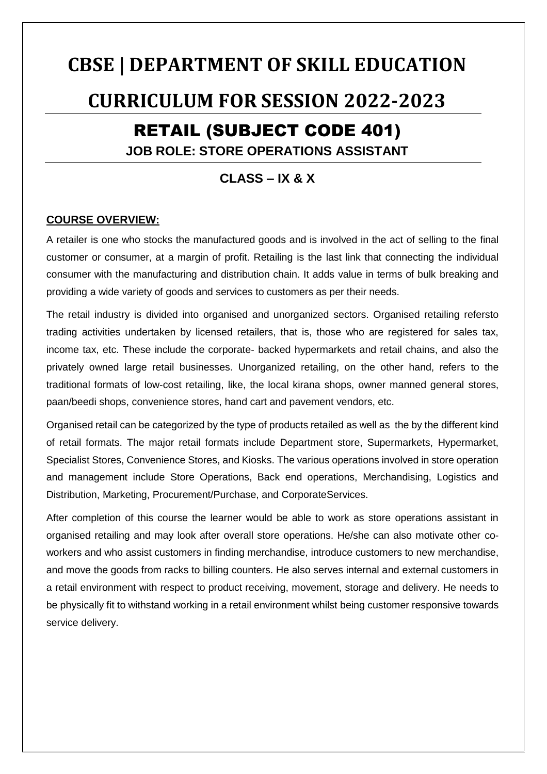# **CBSE | DEPARTMENT OF SKILL EDUCATION CURRICULUM FOR SESSION 2022-2023** RETAIL (SUBJECT CODE 401) **JOB ROLE: STORE OPERATIONS ASSISTANT**

### **CLASS – IX & X**

#### **COURSE OVERVIEW:**

A retailer is one who stocks the manufactured goods and is involved in the act of selling to the final customer or consumer, at a margin of profit. Retailing is the last link that connecting the individual consumer with the manufacturing and distribution chain. It adds value in terms of bulk breaking and providing a wide variety of goods and services to customers as per their needs.

The retail industry is divided into organised and unorganized sectors. Organised retailing refersto trading activities undertaken by licensed retailers, that is, those who are registered for sales tax, income tax, etc. These include the corporate- backed hypermarkets and retail chains, and also the privately owned large retail businesses. Unorganized retailing, on the other hand, refers to the traditional formats of low-cost retailing, like, the local kirana shops, owner manned general stores, paan/beedi shops, convenience stores, hand cart and pavement vendors, etc.

Organised retail can be categorized by the type of products retailed as well as the by the different kind of retail formats. The major retail formats include Department store, Supermarkets, Hypermarket, Specialist Stores, Convenience Stores, and Kiosks. The various operations involved in store operation and management include Store Operations, Back end operations, Merchandising, Logistics and Distribution, Marketing, Procurement/Purchase, and CorporateServices.

After completion of this course the learner would be able to work as store operations assistant in organised retailing and may look after overall store operations. He/she can also motivate other coworkers and who assist customers in finding merchandise, introduce customers to new merchandise, and move the goods from racks to billing counters. He also serves internal and external customers in a retail environment with respect to product receiving, movement, storage and delivery. He needs to be physically fit to withstand working in a retail environment whilst being customer responsive towards service delivery.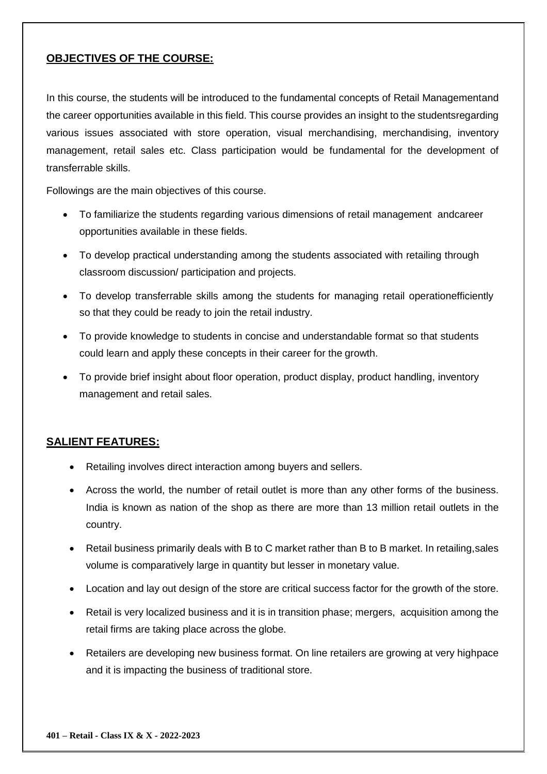#### **OBJECTIVES OF THE COURSE:**

In this course, the students will be introduced to the fundamental concepts of Retail Managementand the career opportunities available in this field. This course provides an insight to the studentsregarding various issues associated with store operation, visual merchandising, merchandising, inventory management, retail sales etc. Class participation would be fundamental for the development of transferrable skills.

Followings are the main objectives of this course.

- To familiarize the students regarding various dimensions of retail management andcareer opportunities available in these fields.
- To develop practical understanding among the students associated with retailing through classroom discussion/ participation and projects.
- To develop transferrable skills among the students for managing retail operationefficiently so that they could be ready to join the retail industry.
- To provide knowledge to students in concise and understandable format so that students could learn and apply these concepts in their career for the growth.
- To provide brief insight about floor operation, product display, product handling, inventory management and retail sales.

#### **SALIENT FEATURES:**

- Retailing involves direct interaction among buyers and sellers.
- Across the world, the number of retail outlet is more than any other forms of the business. India is known as nation of the shop as there are more than 13 million retail outlets in the country.
- Retail business primarily deals with B to C market rather than B to B market. In retailing,sales volume is comparatively large in quantity but lesser in monetary value.
- Location and lay out design of the store are critical success factor for the growth of the store.
- Retail is very localized business and it is in transition phase; mergers, acquisition among the retail firms are taking place across the globe.
- Retailers are developing new business format. On line retailers are growing at very highpace and it is impacting the business of traditional store.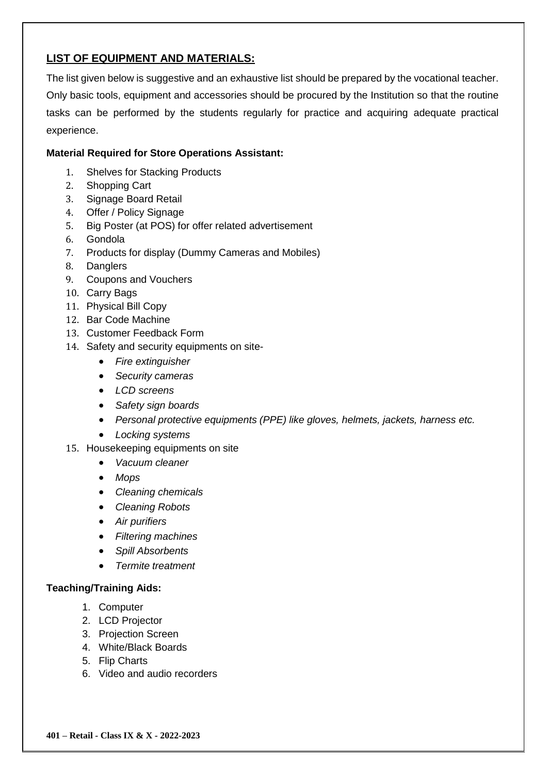#### **LIST OF EQUIPMENT AND MATERIALS:**

The list given below is suggestive and an exhaustive list should be prepared by the vocational teacher. Only basic tools, equipment and accessories should be procured by the Institution so that the routine tasks can be performed by the students regularly for practice and acquiring adequate practical experience.

#### **Material Required for Store Operations Assistant:**

- 1. Shelves for Stacking Products
- 2. Shopping Cart
- 3. Signage Board Retail
- 4. Offer / Policy Signage
- 5. Big Poster (at POS) for offer related advertisement
- 6. Gondola
- 7. Products for display (Dummy Cameras and Mobiles)
- 8. Danglers
- 9. Coupons and Vouchers
- 10. Carry Bags
- 11. Physical Bill Copy
- 12. Bar Code Machine
- 13. Customer Feedback Form
- 14. Safety and security equipments on site-
	- *Fire extinguisher*
	- *Security cameras*
	- *LCD screens*
	- *Safety sign boards*
	- *Personal protective equipments (PPE) like gloves, helmets, jackets, harness etc.*
	- *Locking systems*
- 15. Housekeeping equipments on site
	- *Vacuum cleaner*
	- *Mops*
	- *Cleaning chemicals*
	- *Cleaning Robots*
	- *Air purifiers*
	- *Filtering machines*
	- *Spill Absorbents*
	- *Termite treatment*

#### **Teaching/Training Aids:**

- 1. Computer
- 2. LCD Projector
- 3. Projection Screen
- 4. White/Black Boards
- 5. Flip Charts
- 6. Video and audio recorders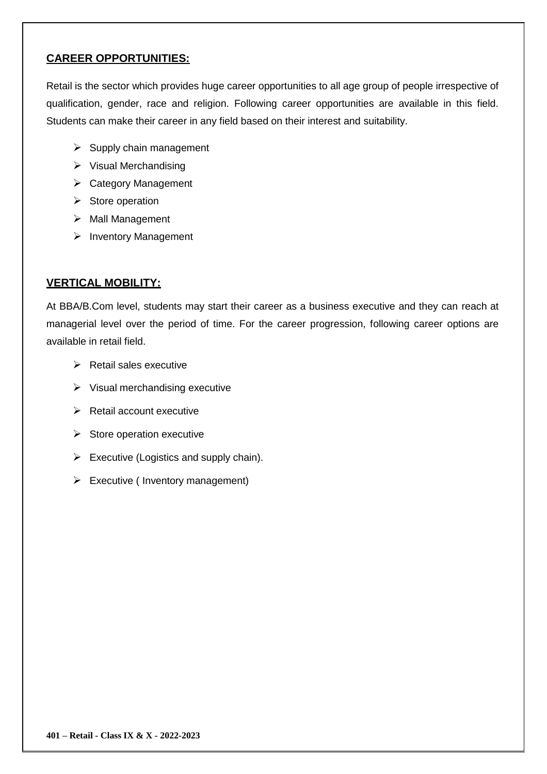#### **CAREER OPPORTUNITIES:**

Retail is the sector which provides huge career opportunities to all age group of people irrespective of qualification, gender, race and religion. Following career opportunities are available in this field. Students can make their career in any field based on their interest and suitability.

- $\triangleright$  Supply chain management
- $\triangleright$  Visual Merchandising
- $\triangleright$  Category Management
- $\triangleright$  Store operation
- $\triangleright$  Mall Management
- $\triangleright$  Inventory Management

#### **VERTICAL MOBILITY:**

At BBA/B.Com level, students may start their career as a business executive and they can reach at managerial level over the period of time. For the career progression, following career options are available in retail field.

- $\triangleright$  Retail sales executive
- $\triangleright$  Visual merchandising executive
- $\triangleright$  Retail account executive
- $\triangleright$  Store operation executive
- $\triangleright$  Executive (Logistics and supply chain).
- $\triangleright$  Executive ( Inventory management)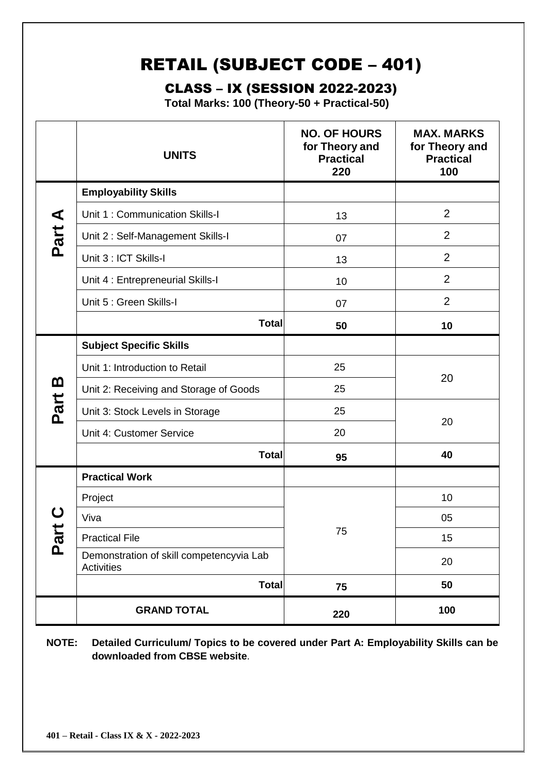# RETAIL (SUBJECT CODE – 401)

# CLASS – IX (SESSION 2022-2023)

**Total Marks: 100 (Theory-50 + Practical-50)**

|                    | <b>UNITS</b>                                                  | <b>NO. OF HOURS</b><br>for Theory and<br><b>Practical</b><br>220 | <b>MAX. MARKS</b><br>for Theory and<br><b>Practical</b><br>100 |  |
|--------------------|---------------------------------------------------------------|------------------------------------------------------------------|----------------------------------------------------------------|--|
|                    | <b>Employability Skills</b>                                   |                                                                  |                                                                |  |
| ◀                  | Unit 1: Communication Skills-I                                | 13                                                               | $\overline{2}$                                                 |  |
| Part               | Unit 2: Self-Management Skills-I                              | 07                                                               | $\overline{2}$                                                 |  |
|                    | Unit 3 : ICT Skills-I                                         | 13                                                               | $\overline{2}$                                                 |  |
|                    | Unit 4 : Entrepreneurial Skills-I                             | 10                                                               | $\overline{2}$                                                 |  |
|                    | Unit 5 : Green Skills-I                                       | 07                                                               | $\overline{2}$                                                 |  |
|                    | <b>Total</b>                                                  | 50                                                               | 10                                                             |  |
|                    | <b>Subject Specific Skills</b>                                |                                                                  |                                                                |  |
|                    | Unit 1: Introduction to Retail                                | 25                                                               | 20                                                             |  |
| <u>ന</u>           | Unit 2: Receiving and Storage of Goods                        | 25                                                               |                                                                |  |
| Part               | 25<br>Unit 3: Stock Levels in Storage                         |                                                                  |                                                                |  |
|                    | Unit 4: Customer Service                                      | 20                                                               | 20                                                             |  |
|                    | <b>Total</b>                                                  | 95                                                               | 40                                                             |  |
|                    | <b>Practical Work</b>                                         |                                                                  |                                                                |  |
|                    | Project                                                       |                                                                  | 10                                                             |  |
|                    | Viva                                                          |                                                                  | 05                                                             |  |
| $\bar{\mathbf{g}}$ | 75<br><b>Practical File</b>                                   |                                                                  | 15                                                             |  |
|                    | Demonstration of skill competencyvia Lab<br><b>Activities</b> |                                                                  | 20                                                             |  |
|                    | <b>Total</b>                                                  | 75                                                               | 50                                                             |  |
|                    | <b>GRAND TOTAL</b>                                            | 220                                                              | 100                                                            |  |

**NOTE: Detailed Curriculum/ Topics to be covered under Part A: Employability Skills can be downloaded from CBSE website**.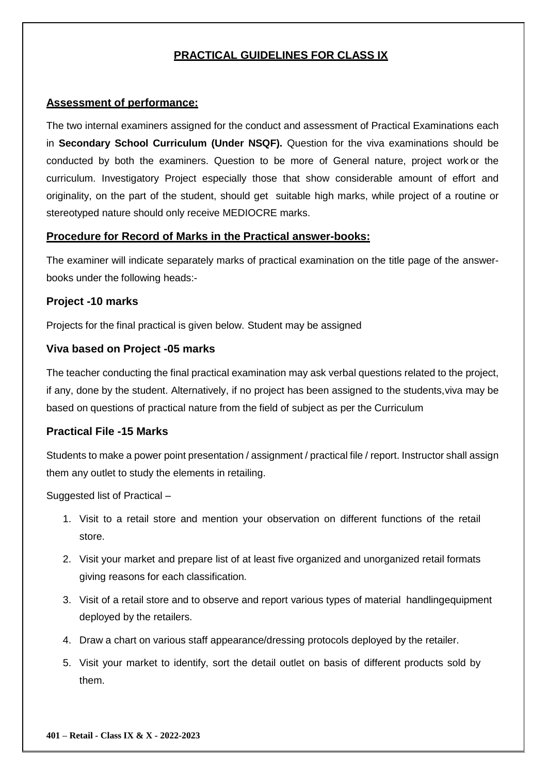#### **PRACTICAL GUIDELINES FOR CLASS IX**

#### **Assessment of performance:**

The two internal examiners assigned for the conduct and assessment of Practical Examinations each in **Secondary School Curriculum (Under NSQF).** Question for the viva examinations should be conducted by both the examiners. Question to be more of General nature, project work or the curriculum. Investigatory Project especially those that show considerable amount of effort and originality, on the part of the student, should get suitable high marks, while project of a routine or stereotyped nature should only receive MEDIOCRE marks.

#### **Procedure for Record of Marks in the Practical answer-books:**

The examiner will indicate separately marks of practical examination on the title page of the answerbooks under the following heads:-

#### **Project -10 marks**

Projects for the final practical is given below. Student may be assigned

#### **Viva based on Project -05 marks**

The teacher conducting the final practical examination may ask verbal questions related to the project, if any, done by the student. Alternatively, if no project has been assigned to the students,viva may be based on questions of practical nature from the field of subject as per the Curriculum

#### **Practical File -15 Marks**

Students to make a power point presentation / assignment / practical file / report. Instructor shall assign them any outlet to study the elements in retailing.

Suggested list of Practical –

- 1. Visit to a retail store and mention your observation on different functions of the retail store.
- 2. Visit your market and prepare list of at least five organized and unorganized retail formats giving reasons for each classification.
- 3. Visit of a retail store and to observe and report various types of material handlingequipment deployed by the retailers.
- 4. Draw a chart on various staff appearance/dressing protocols deployed by the retailer.
- 5. Visit your market to identify, sort the detail outlet on basis of different products sold by them.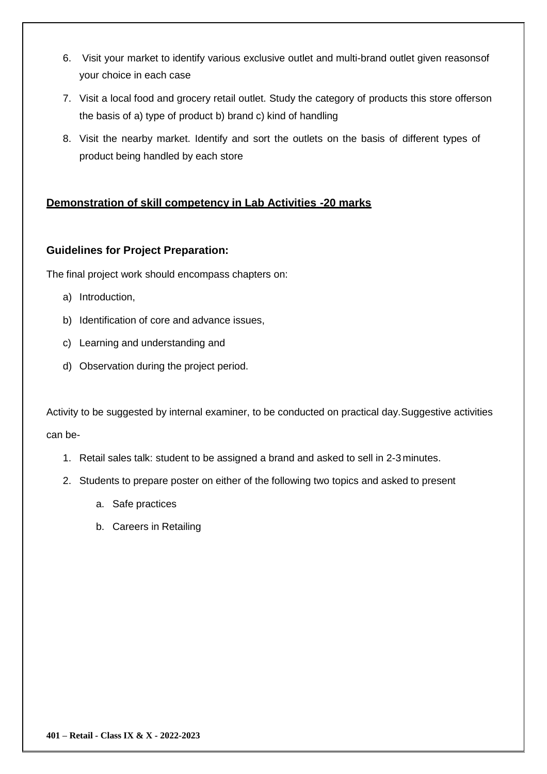- 6. Visit your market to identify various exclusive outlet and multi-brand outlet given reasonsof your choice in each case
- 7. Visit a local food and grocery retail outlet. Study the category of products this store offerson the basis of a) type of product b) brand c) kind of handling
- 8. Visit the nearby market. Identify and sort the outlets on the basis of different types of product being handled by each store

#### **Demonstration of skill competency in Lab Activities -20 marks**

#### **Guidelines for Project Preparation:**

The final project work should encompass chapters on:

- a) Introduction,
- b) Identification of core and advance issues,
- c) Learning and understanding and
- d) Observation during the project period.

Activity to be suggested by internal examiner, to be conducted on practical day.Suggestive activities can be-

- 1. Retail sales talk: student to be assigned a brand and asked to sell in 2-3 minutes.
- 2. Students to prepare poster on either of the following two topics and asked to present
	- a. Safe practices
	- b. Careers in Retailing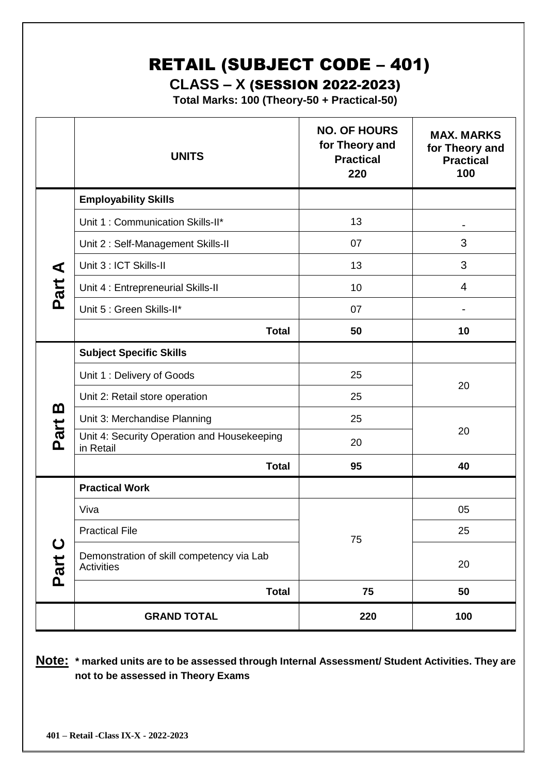# RETAIL (SUBJECT CODE – 401)

## **CLASS – X** (SESSION 2022-2023)

**Total Marks: 100 (Theory-50 + Practical-50)**

|                     | <b>UNITS</b>                                             | <b>NO. OF HOURS</b><br>for Theory and<br><b>Practical</b><br>220 | <b>MAX. MARKS</b><br>for Theory and<br><b>Practical</b><br>100 |  |
|---------------------|----------------------------------------------------------|------------------------------------------------------------------|----------------------------------------------------------------|--|
|                     | <b>Employability Skills</b>                              |                                                                  |                                                                |  |
|                     | Unit 1: Communication Skills-II*                         | 13                                                               |                                                                |  |
|                     | Unit 2: Self-Management Skills-II                        | 07                                                               | 3                                                              |  |
| ⋖                   | Unit 3 : ICT Skills-II                                   | 13                                                               | 3                                                              |  |
| Part                | Unit 4 : Entrepreneurial Skills-II                       | 10                                                               | $\overline{4}$                                                 |  |
|                     | Unit 5 : Green Skills-II*                                | 07                                                               |                                                                |  |
|                     | <b>Total</b>                                             | 50                                                               | 10                                                             |  |
|                     | <b>Subject Specific Skills</b>                           |                                                                  |                                                                |  |
|                     | Unit 1: Delivery of Goods                                | 25                                                               | 20                                                             |  |
|                     | Unit 2: Retail store operation<br>25                     |                                                                  |                                                                |  |
| m                   | Unit 3: Merchandise Planning                             | 25                                                               |                                                                |  |
| Part                | Unit 4: Security Operation and Housekeeping<br>in Retail | 20                                                               | 20                                                             |  |
|                     | <b>Total</b>                                             | 95                                                               | 40                                                             |  |
|                     | <b>Practical Work</b>                                    |                                                                  |                                                                |  |
|                     | Viva                                                     |                                                                  | 05                                                             |  |
| $\mathbf C$<br>Part | <b>Practical File</b>                                    | 75                                                               | 25                                                             |  |
|                     | Demonstration of skill competency via Lab<br>Activities  |                                                                  | 20                                                             |  |
|                     | <b>Total</b>                                             | 75                                                               | 50                                                             |  |
|                     | <b>GRAND TOTAL</b>                                       | 220                                                              | 100                                                            |  |

**Note: \* marked units are to be assessed through Internal Assessment/ Student Activities. They are not to be assessed in Theory Exams**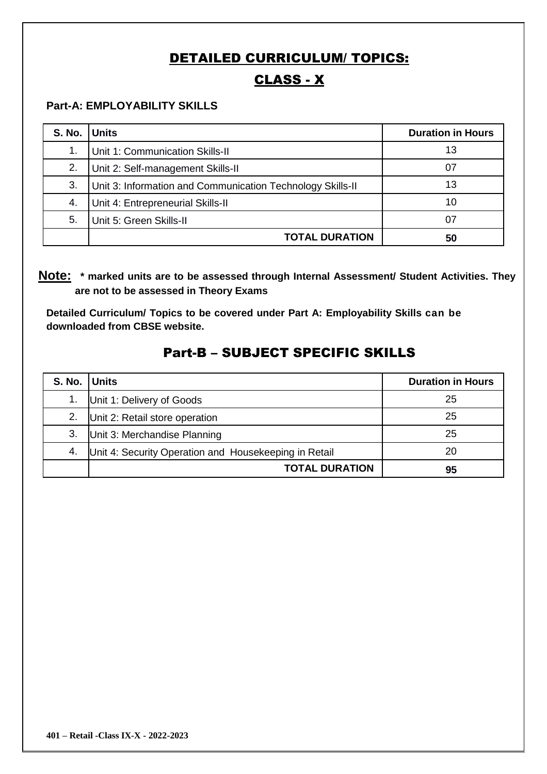## DETAILED CURRICULUM/ TOPICS:

# CLASS - X

#### **Part-A: EMPLOYABILITY SKILLS**

| <b>S. No.</b> | <b>Units</b>                                               | <b>Duration in Hours</b> |
|---------------|------------------------------------------------------------|--------------------------|
| 1.            | Unit 1: Communication Skills-II                            | 13                       |
| 2.            | Unit 2: Self-management Skills-II                          | 07                       |
| 3.            | Unit 3: Information and Communication Technology Skills-II | 13                       |
| 4.            | Unit 4: Entrepreneurial Skills-II                          | 10                       |
| 5.            | Unit 5: Green Skills-II                                    | 07                       |
|               | <b>TOTAL DURATION</b>                                      | 50                       |

**Note: \* marked units are to be assessed through Internal Assessment/ Student Activities. They are not to be assessed in Theory Exams** 

**Detailed Curriculum/ Topics to be covered under Part A: Employability Skills can be downloaded from CBSE website.**

| S. No. Units |                                                       | <b>Duration in Hours</b> |
|--------------|-------------------------------------------------------|--------------------------|
|              | Unit 1: Delivery of Goods                             | 25                       |
| 2.           | Unit 2: Retail store operation                        | 25                       |
| 3.           | Unit 3: Merchandise Planning                          | 25                       |
| 4.           | Unit 4: Security Operation and Housekeeping in Retail | 20                       |
|              | <b>TOTAL DURATION</b>                                 | 95                       |

#### Part-B – SUBJECT SPECIFIC SKILLS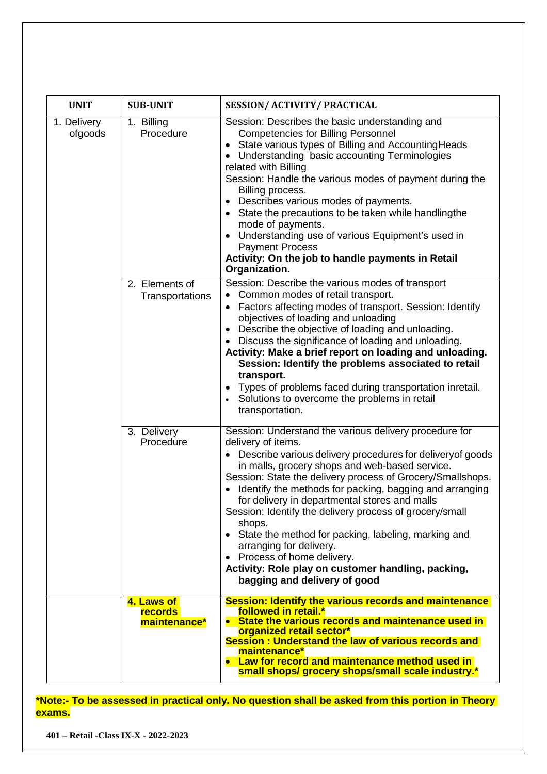| <b>UNIT</b>            | <b>SUB-UNIT</b>                              | <b>SESSION/ ACTIVITY/ PRACTICAL</b>                                                                                                                                                                                                                                                                                                                                                                                                                                                                                                                                                                                                                    |
|------------------------|----------------------------------------------|--------------------------------------------------------------------------------------------------------------------------------------------------------------------------------------------------------------------------------------------------------------------------------------------------------------------------------------------------------------------------------------------------------------------------------------------------------------------------------------------------------------------------------------------------------------------------------------------------------------------------------------------------------|
| 1. Delivery<br>ofgoods | 1. Billing<br>Procedure                      | Session: Describes the basic understanding and<br><b>Competencies for Billing Personnel</b><br>• State various types of Billing and Accounting Heads<br>Understanding basic accounting Terminologies<br>related with Billing<br>Session: Handle the various modes of payment during the<br>Billing process.<br>Describes various modes of payments.<br>$\bullet$<br>• State the precautions to be taken while handlingthe<br>mode of payments.<br>• Understanding use of various Equipment's used in<br><b>Payment Process</b><br>Activity: On the job to handle payments in Retail<br>Organization.                                                   |
|                        | 2. Elements of<br>Transportations            | Session: Describe the various modes of transport<br>Common modes of retail transport.<br>Factors affecting modes of transport. Session: Identify<br>objectives of loading and unloading<br>Describe the objective of loading and unloading.<br>$\bullet$<br>Discuss the significance of loading and unloading.<br>Activity: Make a brief report on loading and unloading.<br>Session: Identify the problems associated to retail<br>transport.<br>• Types of problems faced during transportation inretail.<br>Solutions to overcome the problems in retail<br>transportation.                                                                         |
|                        | 3. Delivery<br>Procedure                     | Session: Understand the various delivery procedure for<br>delivery of items.<br>• Describe various delivery procedures for delivery of goods<br>in malls, grocery shops and web-based service.<br>Session: State the delivery process of Grocery/Smallshops.<br>• Identify the methods for packing, bagging and arranging<br>for delivery in departmental stores and malls<br>Session: Identify the delivery process of grocery/small<br>shops.<br>• State the method for packing, labeling, marking and<br>arranging for delivery.<br>Process of home delivery.<br>Activity: Role play on customer handling, packing,<br>bagging and delivery of good |
|                        | 4. Laws of<br><b>records</b><br>maintenance* | <b>Session: Identify the various records and maintenance</b><br>followed in retail.*<br>• State the various records and maintenance used in<br>organized retail sector*<br>Session: Understand the law of various records and<br>maintenance*<br>• Law for record and maintenance method used in<br>small shops/ grocery shops/small scale industry.*                                                                                                                                                                                                                                                                                                  |

**\*Note:- To be assessed in practical only. No question shall be asked from this portion in Theory exams.**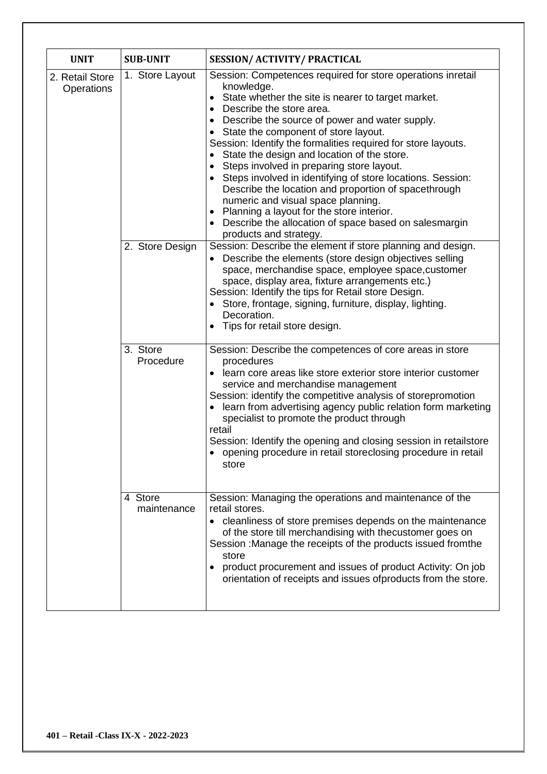| <b>UNIT</b>                   | <b>SUB-UNIT</b>                    | <b>SESSION/ ACTIVITY/ PRACTICAL</b>                                                                                                                                                                                                                                                                                                                                                                                                                                                                                                                                                                                                                                                                                                                                                                                                                                                                                                                                                                                                                                                                                              |
|-------------------------------|------------------------------------|----------------------------------------------------------------------------------------------------------------------------------------------------------------------------------------------------------------------------------------------------------------------------------------------------------------------------------------------------------------------------------------------------------------------------------------------------------------------------------------------------------------------------------------------------------------------------------------------------------------------------------------------------------------------------------------------------------------------------------------------------------------------------------------------------------------------------------------------------------------------------------------------------------------------------------------------------------------------------------------------------------------------------------------------------------------------------------------------------------------------------------|
| 2. Retail Store<br>Operations | 1. Store Layout<br>2. Store Design | Session: Competences required for store operations inretail<br>knowledge.<br>State whether the site is nearer to target market.<br>Describe the store area.<br>Describe the source of power and water supply.<br>• State the component of store layout.<br>Session: Identify the formalities required for store layouts.<br>• State the design and location of the store.<br>Steps involved in preparing store layout.<br>• Steps involved in identifying of store locations. Session:<br>Describe the location and proportion of spacethrough<br>numeric and visual space planning.<br>• Planning a layout for the store interior.<br>• Describe the allocation of space based on salesmargin<br>products and strategy.<br>Session: Describe the element if store planning and design.<br>Describe the elements (store design objectives selling<br>space, merchandise space, employee space, customer<br>space, display area, fixture arrangements etc.)<br>Session: Identify the tips for Retail store Design.<br>• Store, frontage, signing, furniture, display, lighting.<br>Decoration.<br>• Tips for retail store design. |
|                               | 3. Store<br>Procedure              | Session: Describe the competences of core areas in store<br>procedures<br>learn core areas like store exterior store interior customer<br>service and merchandise management<br>Session: identify the competitive analysis of storepromotion<br>learn from advertising agency public relation form marketing<br>specialist to promote the product through<br>retail<br>Session: Identify the opening and closing session in retailstore<br>opening procedure in retail storeclosing procedure in retail<br>store                                                                                                                                                                                                                                                                                                                                                                                                                                                                                                                                                                                                                 |
|                               | 4 Store<br>maintenance             | Session: Managing the operations and maintenance of the<br>retail stores.<br>• cleanliness of store premises depends on the maintenance<br>of the store till merchandising with thecustomer goes on<br>Session : Manage the receipts of the products issued fromthe<br>store<br>product procurement and issues of product Activity: On job<br>orientation of receipts and issues ofproducts from the store.                                                                                                                                                                                                                                                                                                                                                                                                                                                                                                                                                                                                                                                                                                                      |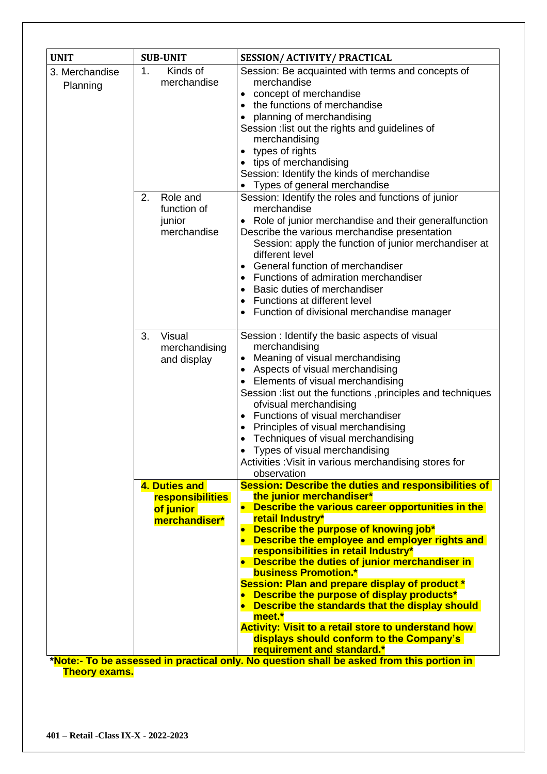| <b>UNIT</b>                | <b>SUB-UNIT</b>                                       | <b>SESSION/ ACTIVITY/ PRACTICAL</b>                                                                                                                                                                                                                                                                                                                                                                                                                                                                                                    |
|----------------------------|-------------------------------------------------------|----------------------------------------------------------------------------------------------------------------------------------------------------------------------------------------------------------------------------------------------------------------------------------------------------------------------------------------------------------------------------------------------------------------------------------------------------------------------------------------------------------------------------------------|
| 3. Merchandise<br>Planning | 1.<br>Kinds of<br>merchandise<br>2.<br>Role and       | Session: Be acquainted with terms and concepts of<br>merchandise<br>• concept of merchandise<br>the functions of merchandise<br>$\bullet$<br>planning of merchandising<br>$\bullet$<br>Session : list out the rights and guidelines of<br>merchandising<br>• types of rights<br>• tips of merchandising<br>Session: Identify the kinds of merchandise<br>Types of general merchandise<br>Session: Identify the roles and functions of junior                                                                                           |
|                            | function of<br>junior<br>merchandise                  | merchandise<br>Role of junior merchandise and their generalfunction<br>$\bullet$<br>Describe the various merchandise presentation<br>Session: apply the function of junior merchandiser at<br>different level<br>• General function of merchandiser<br>Functions of admiration merchandiser<br>Basic duties of merchandiser<br>Functions at different level<br>$\bullet$<br>Function of divisional merchandise manager                                                                                                                 |
|                            | 3.<br>Visual<br>merchandising<br>and display          | Session : Identify the basic aspects of visual<br>merchandising<br>Meaning of visual merchandising<br>$\bullet$<br>Aspects of visual merchandising<br>$\bullet$<br>Elements of visual merchandising<br>$\bullet$<br>Session : list out the functions , principles and techniques<br>ofvisual merchandising<br>• Functions of visual merchandiser<br>Principles of visual merchandising<br>Techniques of visual merchandising<br>Types of visual merchandising<br>Activities : Visit in various merchandising stores for<br>observation |
|                            | 4. Duties and                                         | <b>Session: Describe the duties and responsibilities of</b>                                                                                                                                                                                                                                                                                                                                                                                                                                                                            |
|                            | <b>responsibilities</b><br>of junior<br>merchandiser* | the junior merchandiser*<br>Describe the various career opportunities in the<br>$\bullet$<br>retail Industry*<br>Describe the purpose of knowing job*<br>Describe the employee and employer rights and<br>$\bullet$<br>responsibilities in retail Industry*                                                                                                                                                                                                                                                                            |
|                            |                                                       | • Describe the duties of junior merchandiser in<br><b>business Promotion.*</b><br>Session: Plan and prepare display of product *<br>Describe the purpose of display products*<br>• Describe the standards that the display should<br>meet.*<br><b>Activity: Visit to a retail store to understand how</b>                                                                                                                                                                                                                              |
|                            |                                                       | displays should conform to the Company's<br>requirement and standard.*<br>*Note:- To be assessed in practical only. No question shall be asked from this portion in                                                                                                                                                                                                                                                                                                                                                                    |

**Theory exams.**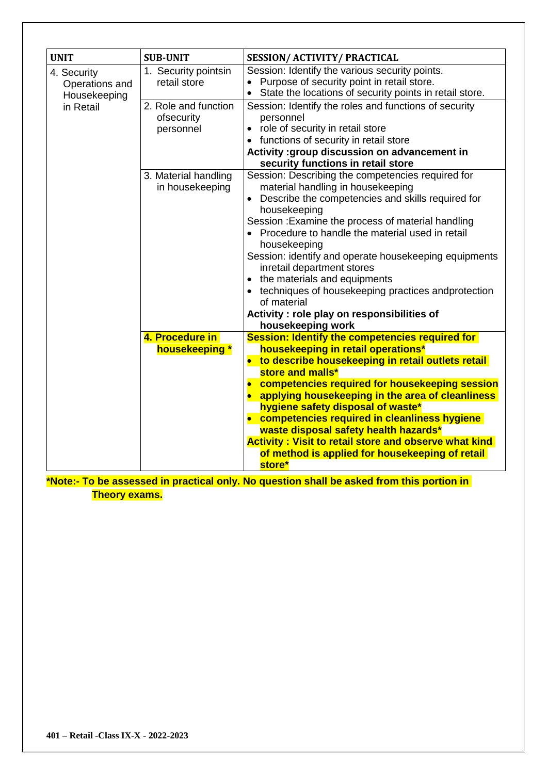| <b>UNIT</b>                                                | <b>SUB-UNIT</b>                                                                         | <b>SESSION/ ACTIVITY/ PRACTICAL</b>                                                                                                                                                                                                                                                                                                                                                                                                                                                                                                                     |
|------------------------------------------------------------|-----------------------------------------------------------------------------------------|---------------------------------------------------------------------------------------------------------------------------------------------------------------------------------------------------------------------------------------------------------------------------------------------------------------------------------------------------------------------------------------------------------------------------------------------------------------------------------------------------------------------------------------------------------|
| 4. Security<br>Operations and<br>Housekeeping<br>in Retail | 1. Security pointsin<br>retail store<br>2. Role and function<br>ofsecurity<br>personnel | Session: Identify the various security points.<br>Purpose of security point in retail store.<br>State the locations of security points in retail store.<br>Session: Identify the roles and functions of security<br>personnel<br>• role of security in retail store                                                                                                                                                                                                                                                                                     |
|                                                            |                                                                                         | • functions of security in retail store<br>Activity : group discussion on advancement in<br>security functions in retail store                                                                                                                                                                                                                                                                                                                                                                                                                          |
|                                                            | 3. Material handling<br>in housekeeping                                                 | Session: Describing the competencies required for<br>material handling in housekeeping<br>Describe the competencies and skills required for<br>housekeeping<br>Session: Examine the process of material handling<br>• Procedure to handle the material used in retail<br>housekeeping<br>Session: identify and operate housekeeping equipments<br>inretail department stores<br>• the materials and equipments<br>techniques of housekeeping practices andprotection<br>of material<br>Activity : role play on responsibilities of<br>housekeeping work |
|                                                            | 4. Procedure in<br>housekeeping *                                                       | Session: Identify the competencies required for<br>housekeeping in retail operations*<br>• to describe housekeeping in retail outlets retail<br>store and malls*<br>• competencies required for housekeeping session<br>• applying housekeeping in the area of cleanliness<br>hygiene safety disposal of waste*<br>• competencies required in cleanliness hygiene<br>waste disposal safety health hazards*<br><b>Activity: Visit to retail store and observe what kind</b><br>of method is applied for housekeeping of retail<br>store*                 |

**\*Note:- To be assessed in practical only. No question shall be asked from this portion in Theory exams.**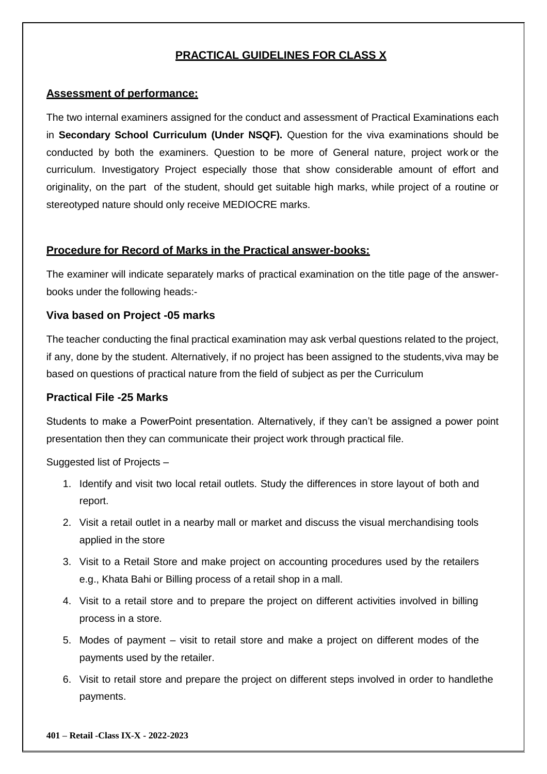#### **PRACTICAL GUIDELINES FOR CLASS X**

#### **Assessment of performance:**

The two internal examiners assigned for the conduct and assessment of Practical Examinations each in **Secondary School Curriculum (Under NSQF).** Question for the viva examinations should be conducted by both the examiners. Question to be more of General nature, project work or the curriculum. Investigatory Project especially those that show considerable amount of effort and originality, on the part of the student, should get suitable high marks, while project of a routine or stereotyped nature should only receive MEDIOCRE marks.

#### **Procedure for Record of Marks in the Practical answer-books:**

The examiner will indicate separately marks of practical examination on the title page of the answerbooks under the following heads:-

#### **Viva based on Project -05 marks**

The teacher conducting the final practical examination may ask verbal questions related to the project, if any, done by the student. Alternatively, if no project has been assigned to the students,viva may be based on questions of practical nature from the field of subject as per the Curriculum

#### **Practical File -25 Marks**

Students to make a PowerPoint presentation. Alternatively, if they can't be assigned a power point presentation then they can communicate their project work through practical file.

Suggested list of Projects –

- 1. Identify and visit two local retail outlets. Study the differences in store layout of both and report.
- 2. Visit a retail outlet in a nearby mall or market and discuss the visual merchandising tools applied in the store
- 3. Visit to a Retail Store and make project on accounting procedures used by the retailers e.g., Khata Bahi or Billing process of a retail shop in a mall.
- 4. Visit to a retail store and to prepare the project on different activities involved in billing process in a store.
- 5. Modes of payment visit to retail store and make a project on different modes of the payments used by the retailer.
- 6. Visit to retail store and prepare the project on different steps involved in order to handlethe payments.